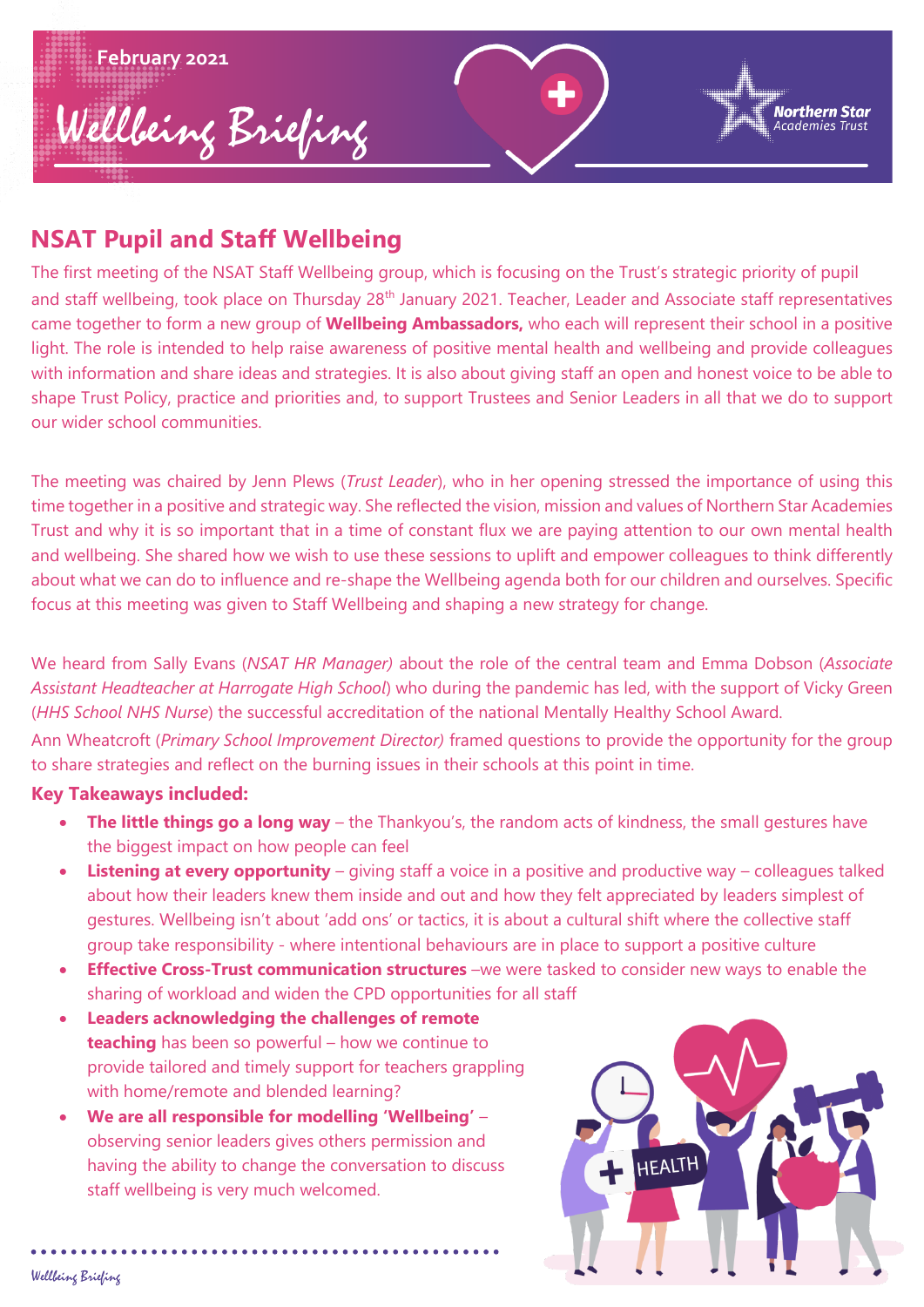

# **NSAT Pupil and Staff Wellbeing**

The first meeting of the NSAT Staff Wellbeing group, which is focusing on the Trust's strategic priority of pupil and staff wellbeing, took place on Thursday 28<sup>th</sup> January 2021. Teacher, Leader and Associate staff representatives came together to form a new group of **Wellbeing Ambassadors,** who each will represent their school in a positive light. The role is intended to help raise awareness of positive mental health and wellbeing and provide colleagues with information and share ideas and strategies. It is also about giving staff an open and honest voice to be able to shape Trust Policy, practice and priorities and, to support Trustees and Senior Leaders in all that we do to support our wider school communities.

The meeting was chaired by Jenn Plews (*Trust Leader*), who in her opening stressed the importance of using this time together in a positive and strategic way. She reflected the vision, mission and values of Northern Star Academies Trust and why it is so important that in a time of constant flux we are paying attention to our own mental health and wellbeing. She shared how we wish to use these sessions to uplift and empower colleagues to think differently about what we can do to influence and re-shape the Wellbeing agenda both for our children and ourselves. Specific focus at this meeting was given to Staff Wellbeing and shaping a new strategy for change.

We heard from Sally Evans (*NSAT HR Manager)* about the role of the central team and Emma Dobson (*Associate Assistant Headteacher at Harrogate High School*) who during the pandemic has led, with the support of Vicky Green (*HHS School NHS Nurse*) the successful accreditation of the national Mentally Healthy School Award.

Ann Wheatcroft (*Primary School Improvement Director)* framed questions to provide the opportunity for the group to share strategies and reflect on the burning issues in their schools at this point in time.

### **Key Takeaways included:**

- **The little things go a long way** the Thankyou's, the random acts of kindness, the small gestures have the biggest impact on how people can feel
- **Listening at every opportunity** giving staff a voice in a positive and productive way colleagues talked about how their leaders knew them inside and out and how they felt appreciated by leaders simplest of gestures. Wellbeing isn't about 'add ons' or tactics, it is about a cultural shift where the collective staff group take responsibility - where intentional behaviours are in place to support a positive culture
- **Effective Cross-Trust communication structures** –we were tasked to consider new ways to enable the sharing of workload and widen the CPD opportunities for all staff
- **Leaders acknowledging the challenges of remote teaching** has been so powerful – how we continue to provide tailored and timely support for teachers grappling with home/remote and blended learning?
- **We are all responsible for modelling 'Wellbeing'** observing senior leaders gives others permission and having the ability to change the conversation to discuss staff wellbeing is very much welcomed.